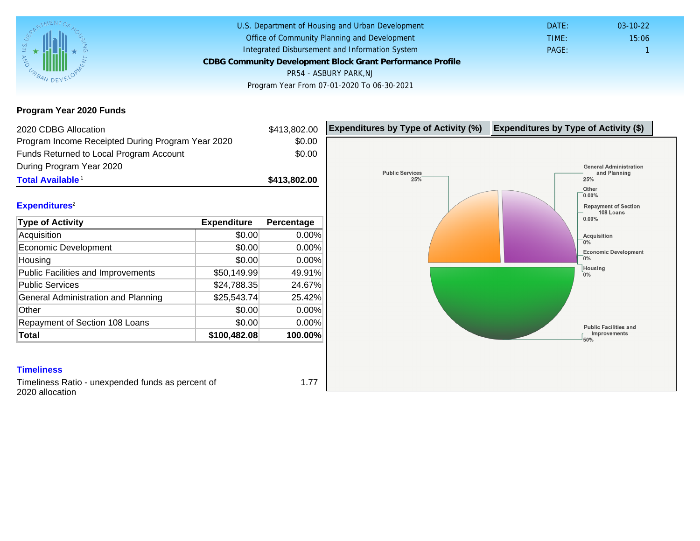Program Year 2020 Funds

| 2020 CDBG Allocation                                                      |              | \$413,802.00  | Expenditures by Type of Activity (%) | Expenditure |
|---------------------------------------------------------------------------|--------------|---------------|--------------------------------------|-------------|
| Program Income Receipted During Program Year 2020                         |              | \$0.00        |                                      |             |
| Funds Returned to Local Program Account                                   |              | \$0.00        |                                      |             |
| During Program Year 2020                                                  |              |               |                                      |             |
| Total Available <sup>1</sup>                                              |              | \$413,802.00  |                                      |             |
|                                                                           |              |               |                                      |             |
| Expenditures <sup>2</sup>                                                 |              |               |                                      |             |
| Type of Activity                                                          | Expenditure  | Percentage    |                                      |             |
| Acquisition                                                               | \$0.00       | 0.00%         |                                      |             |
| <b>Economic Development</b>                                               | \$0.00       | 0.00%         |                                      |             |
| Housing                                                                   | \$0.00       | 0.00%         |                                      |             |
| Public Facilities and Improvements                                        | \$50,149.99  | 49.91%        |                                      |             |
| <b>Public Services</b>                                                    | \$24,788.35  | 24.67%        |                                      |             |
| General Administration and Planning                                       | \$25,543.74  | 25.42%        |                                      |             |
| Other                                                                     | \$0.00       | 0.00%         |                                      |             |
| Repayment of Section 108 Loans                                            | \$0.00       | 0.00%         |                                      |             |
| Total                                                                     | \$100,482.08 | 100.00%       |                                      |             |
|                                                                           |              |               |                                      |             |
|                                                                           |              |               |                                      |             |
| <b>Timeliness</b>                                                         |              |               |                                      |             |
| a a Bhaile an Bhaile ann an an an an an Dùbhlachd an an an an an air a bh |              | $\rightarrow$ |                                      |             |

Timeliness Ratio - unexpended funds as percent of 2020 allocation

1.77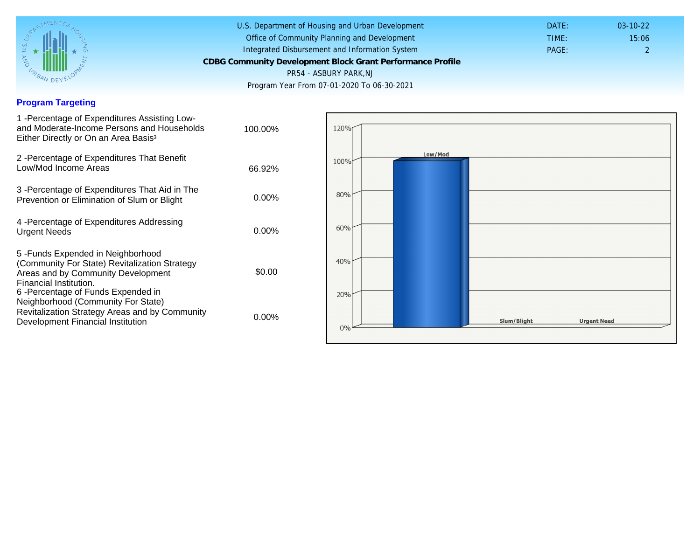## Program Targeting

| 1 - Percentage of Expenditures Assisting Low-<br>and Moderate-Income Persons and Households<br>Either Directly or On an Area Basis <sup>3</sup>                                                                              | 100.00%  |
|------------------------------------------------------------------------------------------------------------------------------------------------------------------------------------------------------------------------------|----------|
| 2 - Percentage of Expenditures That Benefit<br>Low/Mod Income Areas                                                                                                                                                          | 66.92%   |
| 3 -Percentage of Expenditures That Aid in The<br>Prevention or Elimination of Slum or Blight                                                                                                                                 | $0.00\%$ |
| 4 - Percentage of Expenditures Addressing<br><b>Urgent Needs</b>                                                                                                                                                             | $0.00\%$ |
| 5-Funds Expended in Neighborhood<br>(Community For State) Revitalization Strategy<br>Areas and by Community Development<br>Financial Institution.<br>6-Percentage of Funds Expended in<br>Neighborhood (Community For State) | \$0.00   |
| Revitalization Strategy Areas and by Community<br>Development Financial Institution                                                                                                                                          | $0.00\%$ |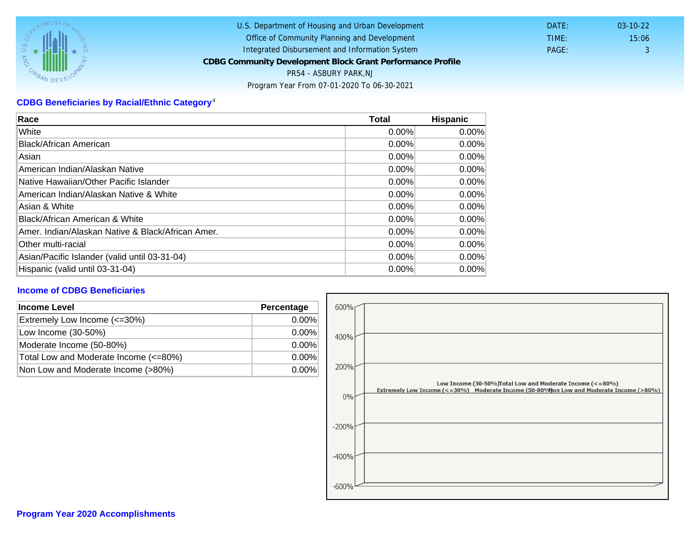## CDBG Beneficiaries by Racial/Ethnic Category <sup>4</sup>

| Race                                              | Total    | Hispanic |
|---------------------------------------------------|----------|----------|
| White                                             | $0.00\%$ | $0.00\%$ |
| Black/African American                            | 0.00%    | $0.00\%$ |
| Asian                                             | 0.00%    | 0.00%    |
| American Indian/Alaskan Native                    | 0.00%    | $0.00\%$ |
| Native Hawaiian/Other Pacific Islander            | $0.00\%$ | $0.00\%$ |
| American Indian/Alaskan Native & White            | 0.00%    | $0.00\%$ |
| Asian & White                                     | 0.00%    | 0.00%    |
| Black/African American & White                    | 0.00%    | 0.00%    |
| Amer. Indian/Alaskan Native & Black/African Amer. | $0.00\%$ | $0.00\%$ |
| <b>Other multi-racial</b>                         | 0.00%    | $0.00\%$ |
| Asian/Pacific Islander (valid until 03-31-04)     | $0.00\%$ | 0.00%    |
| Hispanic (valid until 03-31-04)                   | 0.00%    | 0.00%    |

## Income of CDBG Beneficiaries

| Income Level                          | Percentage |
|---------------------------------------|------------|
| Extremely Low Income (<=30%)          | $0.00\%$   |
| Low Income (30-50%)                   | $0.00\%$   |
| Moderate Income (50-80%)              | $0.00\%$   |
| Total Low and Moderate Income (<=80%) | $0.00\%$   |
| Non Low and Moderate Income (>80%)    | 0.00%      |